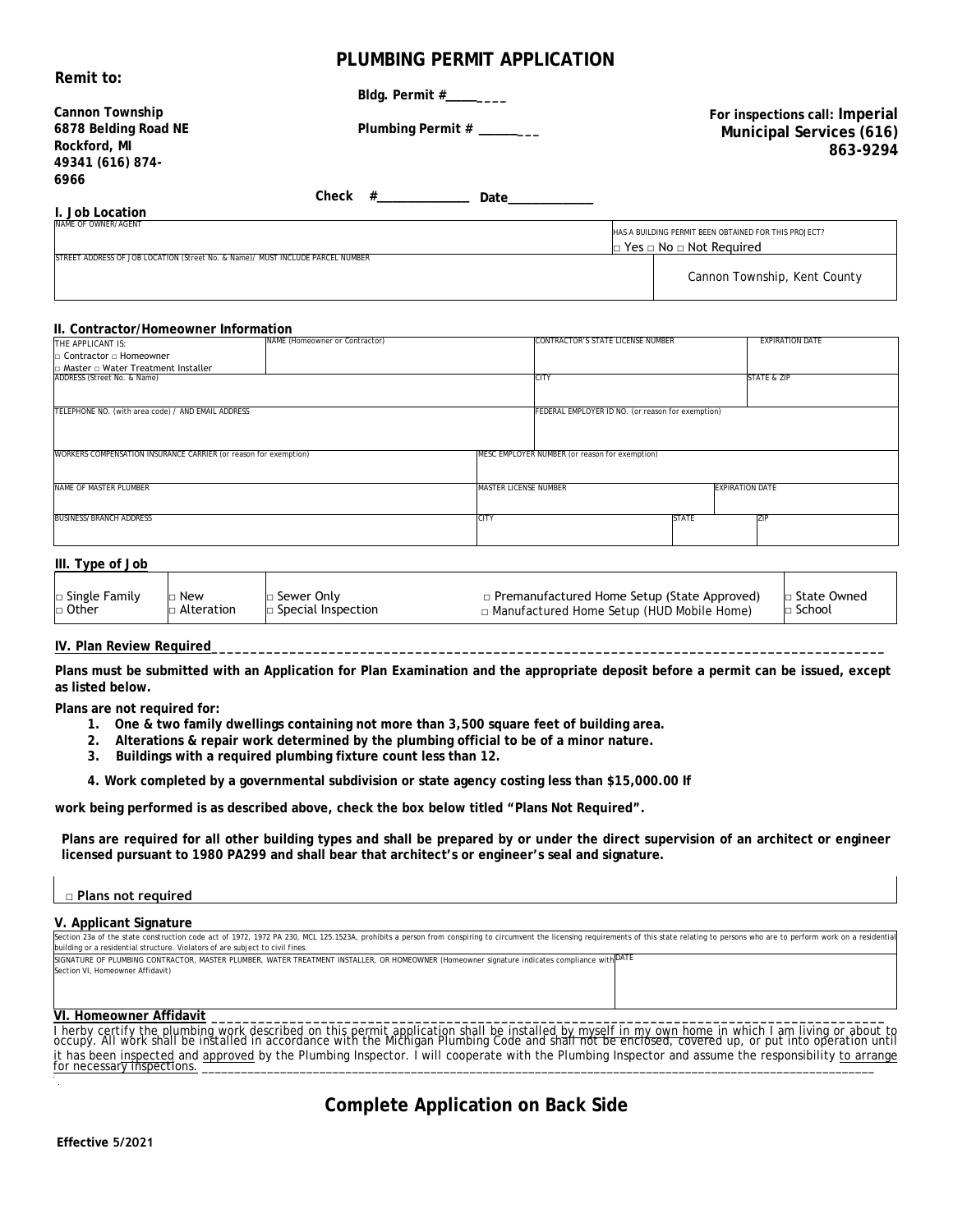## **PLUMBING PERMIT APPLICATION**

| Remit to:                                                                      |                                |                           |                                          |                                                       |
|--------------------------------------------------------------------------------|--------------------------------|---------------------------|------------------------------------------|-------------------------------------------------------|
|                                                                                |                                |                           |                                          |                                                       |
| <b>Cannon Township</b>                                                         |                                |                           |                                          | For inspections call: Imperial                        |
| 6878 Belding Road NE                                                           |                                | Plumbing Permit # _______ |                                          | Municipal Services (616)                              |
| Rockford, MI                                                                   |                                |                           |                                          | 863-9294                                              |
| 49341 (616) 874-                                                               |                                |                           |                                          |                                                       |
| 6966                                                                           |                                |                           |                                          |                                                       |
|                                                                                | $Check$ #                      | Date                      |                                          |                                                       |
| I. Job Location                                                                |                                |                           |                                          |                                                       |
| NAME OF OWNER/AGENT                                                            |                                |                           |                                          | HAS A BUILDING PERMIT BEEN OBTAINED FOR THIS PROJECT? |
|                                                                                |                                |                           | $\Box$ Yes $\Box$ No $\Box$ Not Required |                                                       |
| STREET ADDRESS OF JOB LOCATION (Street No. & Name)/ MUST INCLUDE PARCEL NUMBER |                                |                           |                                          |                                                       |
|                                                                                |                                |                           |                                          | Cannon Township, Kent County                          |
|                                                                                |                                |                           |                                          |                                                       |
|                                                                                |                                |                           |                                          |                                                       |
| II. Contractor/Homeowner Information                                           |                                |                           |                                          |                                                       |
| THE APPLICANT IS:                                                              | NAME (Homeowner or Contractor) |                           | CONTRACTOR'S STATE LICENSE NUMBER        | <b>EXPIRATION DATE</b>                                |
| $\Box$ Contractor $\Box$ Homeowner                                             |                                |                           |                                          |                                                       |
| □ Master □ Water Treatment Installer                                           |                                |                           |                                          |                                                       |

| ∃ Master □ Water Treatment Installer                                                                               |  |                              |                                                   |              |                 |
|--------------------------------------------------------------------------------------------------------------------|--|------------------------------|---------------------------------------------------|--------------|-----------------|
| ADDRESS (Street No. & Name)                                                                                        |  |                              | <b>ICITY</b>                                      |              | STATE & ZIP     |
|                                                                                                                    |  |                              |                                                   |              |                 |
|                                                                                                                    |  |                              |                                                   |              |                 |
| TELEPHONE NO. (with area code) / AND EMAIL ADDRESS                                                                 |  |                              | FEDERAL EMPLOYER ID NO. (or reason for exemption) |              |                 |
|                                                                                                                    |  |                              |                                                   |              |                 |
|                                                                                                                    |  |                              |                                                   |              |                 |
|                                                                                                                    |  |                              |                                                   |              |                 |
|                                                                                                                    |  |                              |                                                   |              |                 |
| MESC EMPLOYER NUMBER (or reason for exemption)<br>WORKERS COMPENSATION INSURANCE CARRIER (or reason for exemption) |  |                              |                                                   |              |                 |
|                                                                                                                    |  |                              |                                                   |              |                 |
|                                                                                                                    |  |                              |                                                   |              |                 |
| NAME OF MASTER PLUMBER                                                                                             |  | <b>MASTER LICENSE NUMBER</b> | <b>EXPIRATION DATE</b>                            |              |                 |
|                                                                                                                    |  |                              |                                                   |              |                 |
|                                                                                                                    |  |                              |                                                   |              |                 |
| <b>BUSINESS/BRANCH ADDRESS</b>                                                                                     |  | CITY                         |                                                   | <b>STATE</b> | 7 <sub>IP</sub> |
|                                                                                                                    |  |                              |                                                   |              |                 |
|                                                                                                                    |  |                              |                                                   |              |                 |
|                                                                                                                    |  |                              |                                                   |              |                 |

| III. Type of Job |            |                           |                                                    |                          |
|------------------|------------|---------------------------|----------------------------------------------------|--------------------------|
| □ Single Family  | New        | □ Sewer Only              | $\Box$ Premanufactured Home Setup (State Approved) | <sub>1</sub> State Owned |
| □ Other          | Alteration | $\Box$ Special Inspection | $\Box$ Manufactured Home Setup (HUD Mobile Home)   | $\Box$ School            |

### **IV. Plan Review Required**

**Plans must be submitted with an Application for Plan Examination and the appropriate deposit before a permit can be issued, except as listed below.**

**Plans are not required for:**

- **1. One & two family dwellings containing not more than 3,500 square feet of building area.**
- **2. Alterations & repair work determined by the plumbing official to be of a minor nature.**
- **3. Buildings with a required plumbing fixture count less than 12.**
- **4. Work completed by a governmental subdivision or state agency costing less than \$15,000.00 If**

**work being performed is as described above, check the box below titled "Plans Not Required".**

**Plans are required for all other building types and shall be prepared by or under the direct supervision of an architect or engineer licensed pursuant to 1980 PA299 and shall bear that architect's or engineer's seal and signature.**

| □ Plans not required                                                                                                                                                                                                                                                                                            |  |  |  |  |
|-----------------------------------------------------------------------------------------------------------------------------------------------------------------------------------------------------------------------------------------------------------------------------------------------------------------|--|--|--|--|
| V. Applicant Signature                                                                                                                                                                                                                                                                                          |  |  |  |  |
| Section 23a of the state construction code act of 1972, 1972 PA 230, MCL 125.1523A, prohibits a person from conspiring to circumvent the licensing requirements of this state relating to persons who are to perform work on a<br>building or a residential structure. Violators of are subject to civil fines. |  |  |  |  |
| SIGNATURE OF PLUMBING CONTRACTOR, MASTER PLUMBER, WATER TREATMENT INSTALLER, OR HOMEOWNER (Homeowner signature indicates compliance with OATE                                                                                                                                                                   |  |  |  |  |
| Section VI. Homeowner Affidavit)                                                                                                                                                                                                                                                                                |  |  |  |  |
|                                                                                                                                                                                                                                                                                                                 |  |  |  |  |

### **VI. Homeowner Affidavit \_\_\_\_\_\_\_\_\_\_\_\_\_\_\_\_\_\_\_\_\_\_\_\_\_\_\_\_\_\_\_\_\_\_\_\_\_\_\_\_\_\_\_\_\_\_\_\_\_\_\_\_\_\_\_\_\_\_\_\_\_\_\_\_\_\_\_\_\_\_\_\_\_\_\_\_\_\_\_\_\_\_\_\_\_\_**

I herby certify the plumbing work described on this permit application shall be installed by myself in my own home in which I am living or about to<br>occupy. All work shall be installed in accordance with the Michigan Plumbi it has been inspected and approved by the Plumbing Inspector. I will cooperate with the Plumbing Inspector and assume the responsibility to arrange for necessary inspections. \_\_\_\_\_\_\_\_\_\_\_\_\_\_\_\_\_\_\_\_\_\_\_\_\_\_\_\_\_\_\_\_\_\_\_\_\_\_\_\_\_\_\_\_\_\_\_\_\_\_\_\_\_\_\_\_\_\_\_\_\_\_\_\_\_\_\_\_\_\_\_\_\_\_\_\_\_\_\_\_\_\_\_\_\_\_\_\_\_\_\_\_\_\_\_\_\_\_\_\_\_\_\_

# **Complete Application on Back Side**